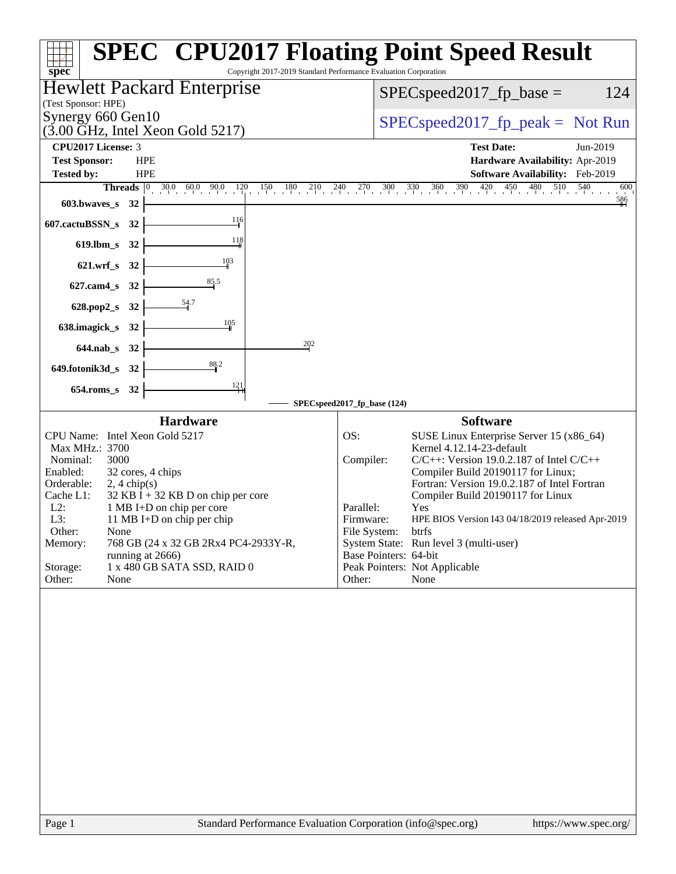|                                                                                           | <b>SPEC<sup>®</sup> CPU2017 Floating Point Speed Result</b>                                                                                                            |
|-------------------------------------------------------------------------------------------|------------------------------------------------------------------------------------------------------------------------------------------------------------------------|
| Copyright 2017-2019 Standard Performance Evaluation Corporation<br>spec <sup>®</sup>      |                                                                                                                                                                        |
| <b>Hewlett Packard Enterprise</b>                                                         | 124<br>$SPEC speed2017_fp\_base =$                                                                                                                                     |
| (Test Sponsor: HPE)<br>Synergy 660 Gen10                                                  |                                                                                                                                                                        |
| $(3.00 \text{ GHz}, \text{Intel Xeon Gold } 5217)$                                        | $SPEC speed2017rfp peak = Not Run$                                                                                                                                     |
| CPU2017 License: 3                                                                        | <b>Test Date:</b><br>Jun-2019                                                                                                                                          |
| <b>Test Sponsor:</b><br><b>HPE</b><br><b>Tested by:</b><br><b>HPE</b>                     | Hardware Availability: Apr-2019<br>Software Availability: Feb-2019                                                                                                     |
|                                                                                           | <b>Threads</b> $\begin{bmatrix} 0 & 30.0 & 60.0 & 90.0 & 120 & 150 & 180 & 210 & 240 & 270 & 300 & 330 & 360 & 390 & 420 & 450 & 480 & 510 & 540 \end{bmatrix}$<br>600 |
| 603.bwaves_s 32                                                                           |                                                                                                                                                                        |
| 116<br>607.cactuBSSN_s 32                                                                 |                                                                                                                                                                        |
| 118<br>619.lbm_s 32                                                                       |                                                                                                                                                                        |
| 103<br>621.wrf_s 32                                                                       |                                                                                                                                                                        |
| 85.5<br>627.cam4_s 32                                                                     |                                                                                                                                                                        |
| $\frac{54.7}{4}$<br>628.pop2_s 32                                                         |                                                                                                                                                                        |
| $\frac{105}{1}$<br>638.imagick_s 32                                                       |                                                                                                                                                                        |
| 202<br>644.nab_s 32                                                                       |                                                                                                                                                                        |
| 649.fotonik3d_s 32                                                                        |                                                                                                                                                                        |
| $\frac{121}{ }$<br>$654$ .roms_s<br>32                                                    |                                                                                                                                                                        |
|                                                                                           | SPECspeed2017_fp_base (124)                                                                                                                                            |
| <b>Hardware</b>                                                                           | <b>Software</b>                                                                                                                                                        |
| CPU Name: Intel Xeon Gold 5217<br>Max MHz.: 3700                                          | OS:<br>SUSE Linux Enterprise Server 15 (x86_64)<br>Kernel 4.12.14-23-default                                                                                           |
| 3000<br>Nominal:                                                                          | $C/C++$ : Version 19.0.2.187 of Intel $C/C++$<br>Compiler:                                                                                                             |
| Enabled:<br>32 cores, 4 chips                                                             | Compiler Build 20190117 for Linux;                                                                                                                                     |
| Orderable:<br>$2, 4 \text{ chip}(s)$<br>$32$ KB I + 32 KB D on chip per core<br>Cache L1: | Fortran: Version 19.0.2.187 of Intel Fortran<br>Compiler Build 20190117 for Linux                                                                                      |
| $L2$ :<br>1 MB I+D on chip per core                                                       | Parallel:<br>Yes                                                                                                                                                       |
| L3:<br>11 MB I+D on chip per chip<br>Other:<br>None                                       | Firmware:<br>HPE BIOS Version I43 04/18/2019 released Apr-2019<br>File System:<br>btrfs                                                                                |
| Memory:<br>768 GB (24 x 32 GB 2Rx4 PC4-2933Y-R,                                           | System State: Run level 3 (multi-user)                                                                                                                                 |
| running at 2666)<br>1 x 480 GB SATA SSD, RAID 0<br>Storage:                               | Base Pointers: 64-bit<br>Peak Pointers: Not Applicable                                                                                                                 |
| Other:<br>None                                                                            | None<br>Other:                                                                                                                                                         |
|                                                                                           |                                                                                                                                                                        |
| Standard Performance Evaluation Corporation (info@spec.org)<br>Page 1                     | https://www.spec.org/                                                                                                                                                  |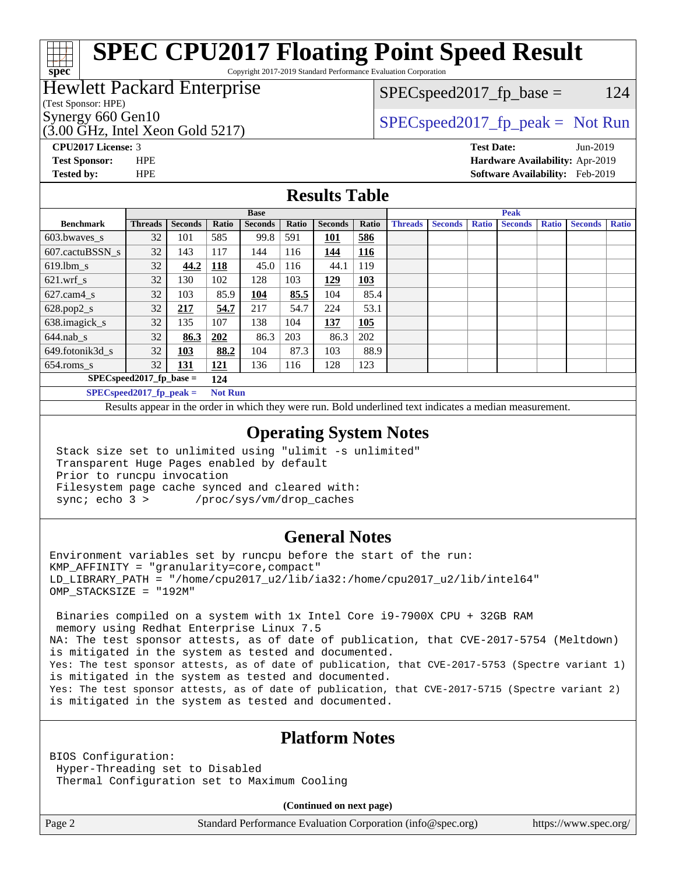Copyright 2017-2019 Standard Performance Evaluation Corporation

# Hewlett Packard Enterprise

## $SPEC speed2017_fp\_base = 124$

(Test Sponsor: HPE)

**[spec](http://www.spec.org/)**

(3.00 GHz, Intel Xeon Gold 5217)

Synergy 660 Gen10  $SPEC speed2017$  fp\_peak = Not Run

**[CPU2017 License:](http://www.spec.org/auto/cpu2017/Docs/result-fields.html#CPU2017License)** 3 **[Test Date:](http://www.spec.org/auto/cpu2017/Docs/result-fields.html#TestDate)** Jun-2019 **[Test Sponsor:](http://www.spec.org/auto/cpu2017/Docs/result-fields.html#TestSponsor)** HPE **[Hardware Availability:](http://www.spec.org/auto/cpu2017/Docs/result-fields.html#HardwareAvailability)** Apr-2019 **[Tested by:](http://www.spec.org/auto/cpu2017/Docs/result-fields.html#Testedby)** HPE **[Software Availability:](http://www.spec.org/auto/cpu2017/Docs/result-fields.html#SoftwareAvailability)** Feb-2019

### **[Results Table](http://www.spec.org/auto/cpu2017/Docs/result-fields.html#ResultsTable)**

|                                              | <b>Base</b>                       |                |            |                |       | <b>Peak</b>    |            |                |                |              |                |              |                |              |
|----------------------------------------------|-----------------------------------|----------------|------------|----------------|-------|----------------|------------|----------------|----------------|--------------|----------------|--------------|----------------|--------------|
| <b>Benchmark</b>                             | <b>Threads</b>                    | <b>Seconds</b> | Ratio      | <b>Seconds</b> | Ratio | <b>Seconds</b> | Ratio      | <b>Threads</b> | <b>Seconds</b> | <b>Ratio</b> | <b>Seconds</b> | <b>Ratio</b> | <b>Seconds</b> | <b>Ratio</b> |
| 603.bwayes s                                 | 32                                | 101            | 585        | 99.8           | 591   | 101            | 586        |                |                |              |                |              |                |              |
| 607.cactuBSSN s                              | 32                                | 143            | 117        | 144            | 116   | 144            | <b>116</b> |                |                |              |                |              |                |              |
| $619.$ lbm s                                 | 32                                | 44.2           | <b>118</b> | 45.0           | 116   | 44.1           | 119        |                |                |              |                |              |                |              |
| $621.wrf$ s                                  | 32                                | 130            | 102        | 128            | 103   | 129            | 103        |                |                |              |                |              |                |              |
| $627$ .cam $4 \text{ s}$                     | 32                                | 103            | 85.9       | 104            | 85.5  | 104            | 85.4       |                |                |              |                |              |                |              |
| $628.pop2_s$                                 | 32                                | 217            | 54.7       | 217            | 54.7  | 224            | 53.1       |                |                |              |                |              |                |              |
| 638.imagick_s                                | 32                                | 135            | 107        | 138            | 104   | 137            | 105        |                |                |              |                |              |                |              |
| $644$ .nab s                                 | 32                                | 86.3           | 202        | 86.3           | 203   | 86.3           | 202        |                |                |              |                |              |                |              |
| 649.fotonik3d s                              | 32                                | <u>103</u>     | 88.2       | 104            | 87.3  | 103            | 88.9       |                |                |              |                |              |                |              |
| $654$ .roms s                                | 32                                | <b>131</b>     | <b>121</b> | 136            | 116   | 128            | 123        |                |                |              |                |              |                |              |
|                                              | $SPEC speed2017$ fp base =<br>124 |                |            |                |       |                |            |                |                |              |                |              |                |              |
| $SPECspeed2017_fp\_peak =$<br><b>Not Run</b> |                                   |                |            |                |       |                |            |                |                |              |                |              |                |              |

Results appear in the [order in which they were run.](http://www.spec.org/auto/cpu2017/Docs/result-fields.html#RunOrder) Bold underlined text [indicates a median measurement](http://www.spec.org/auto/cpu2017/Docs/result-fields.html#Median).

#### **[Operating System Notes](http://www.spec.org/auto/cpu2017/Docs/result-fields.html#OperatingSystemNotes)**

 Stack size set to unlimited using "ulimit -s unlimited" Transparent Huge Pages enabled by default Prior to runcpu invocation Filesystem page cache synced and cleared with: sync; echo 3 > /proc/sys/vm/drop\_caches

### **[General Notes](http://www.spec.org/auto/cpu2017/Docs/result-fields.html#GeneralNotes)**

Environment variables set by runcpu before the start of the run: KMP\_AFFINITY = "granularity=core,compact" LD\_LIBRARY\_PATH = "/home/cpu2017\_u2/lib/ia32:/home/cpu2017\_u2/lib/intel64" OMP\_STACKSIZE = "192M"

 Binaries compiled on a system with 1x Intel Core i9-7900X CPU + 32GB RAM memory using Redhat Enterprise Linux 7.5 NA: The test sponsor attests, as of date of publication, that CVE-2017-5754 (Meltdown) is mitigated in the system as tested and documented. Yes: The test sponsor attests, as of date of publication, that CVE-2017-5753 (Spectre variant 1) is mitigated in the system as tested and documented. Yes: The test sponsor attests, as of date of publication, that CVE-2017-5715 (Spectre variant 2) is mitigated in the system as tested and documented.

## **[Platform Notes](http://www.spec.org/auto/cpu2017/Docs/result-fields.html#PlatformNotes)**

BIOS Configuration: Hyper-Threading set to Disabled Thermal Configuration set to Maximum Cooling

**(Continued on next page)**

Page 2 Standard Performance Evaluation Corporation [\(info@spec.org\)](mailto:info@spec.org) <https://www.spec.org/>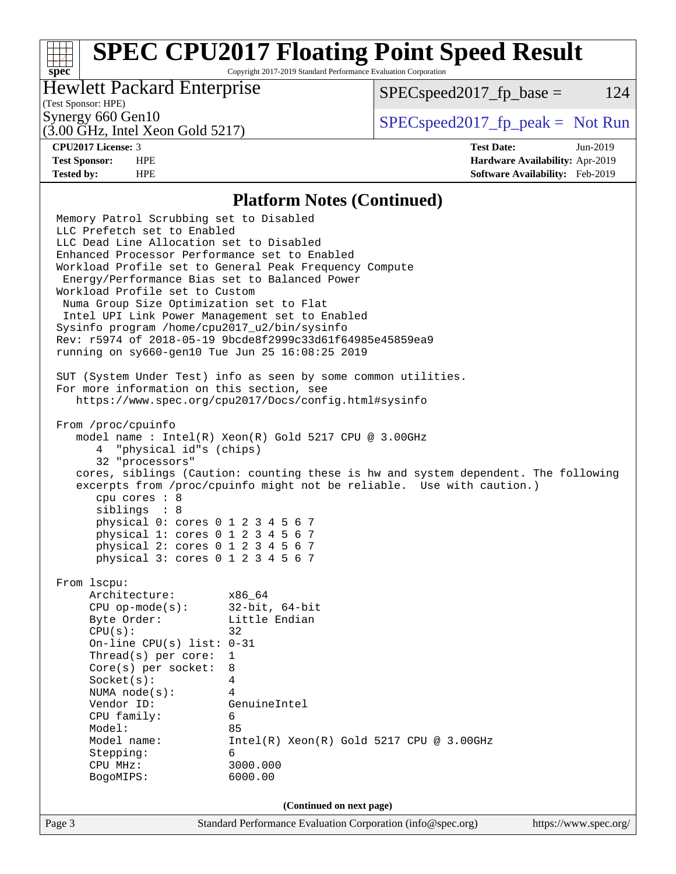Copyright 2017-2019 Standard Performance Evaluation Corporation

## Hewlett Packard Enterprise

 $SPEC speed2017_fp\_base = 124$ 

# (Test Sponsor: HPE)

(3.00 GHz, Intel Xeon Gold 5217)

Synergy 660 Gen10  $S^{perg}$  [SPECspeed2017\\_fp\\_peak =](http://www.spec.org/auto/cpu2017/Docs/result-fields.html#SPECspeed2017fppeak) Not Run

**[spec](http://www.spec.org/)**

**[CPU2017 License:](http://www.spec.org/auto/cpu2017/Docs/result-fields.html#CPU2017License)** 3 **[Test Date:](http://www.spec.org/auto/cpu2017/Docs/result-fields.html#TestDate)** Jun-2019 **[Test Sponsor:](http://www.spec.org/auto/cpu2017/Docs/result-fields.html#TestSponsor)** HPE **[Hardware Availability:](http://www.spec.org/auto/cpu2017/Docs/result-fields.html#HardwareAvailability)** Apr-2019 **[Tested by:](http://www.spec.org/auto/cpu2017/Docs/result-fields.html#Testedby)** HPE **[Software Availability:](http://www.spec.org/auto/cpu2017/Docs/result-fields.html#SoftwareAvailability)** Feb-2019

#### **[Platform Notes \(Continued\)](http://www.spec.org/auto/cpu2017/Docs/result-fields.html#PlatformNotes)**

Page 3 Standard Performance Evaluation Corporation [\(info@spec.org\)](mailto:info@spec.org) <https://www.spec.org/> Memory Patrol Scrubbing set to Disabled LLC Prefetch set to Enabled LLC Dead Line Allocation set to Disabled Enhanced Processor Performance set to Enabled Workload Profile set to General Peak Frequency Compute Energy/Performance Bias set to Balanced Power Workload Profile set to Custom Numa Group Size Optimization set to Flat Intel UPI Link Power Management set to Enabled Sysinfo program /home/cpu2017\_u2/bin/sysinfo Rev: r5974 of 2018-05-19 9bcde8f2999c33d61f64985e45859ea9 running on sy660-gen10 Tue Jun 25 16:08:25 2019 SUT (System Under Test) info as seen by some common utilities. For more information on this section, see <https://www.spec.org/cpu2017/Docs/config.html#sysinfo> From /proc/cpuinfo model name : Intel(R) Xeon(R) Gold 5217 CPU @ 3.00GHz 4 "physical id"s (chips) 32 "processors" cores, siblings (Caution: counting these is hw and system dependent. The following excerpts from /proc/cpuinfo might not be reliable. Use with caution.) cpu cores : 8 siblings : 8 physical 0: cores 0 1 2 3 4 5 6 7 physical 1: cores 0 1 2 3 4 5 6 7 physical 2: cores 0 1 2 3 4 5 6 7 physical 3: cores 0 1 2 3 4 5 6 7 From lscpu: Architecture: x86\_64 CPU op-mode(s): 32-bit, 64-bit Byte Order: Little Endian  $CPU(s):$  32 On-line CPU(s) list: 0-31 Thread(s) per core: 1 Core(s) per socket: 8 Socket(s): 4 NUMA node(s): 4 Vendor ID: GenuineIntel CPU family: 6 Model: 85<br>Model name: 1n  $Intel(R)$  Xeon(R) Gold 5217 CPU @ 3.00GHz Stepping: 6 CPU MHz: 3000.000 BogoMIPS: 6000.00 **(Continued on next page)**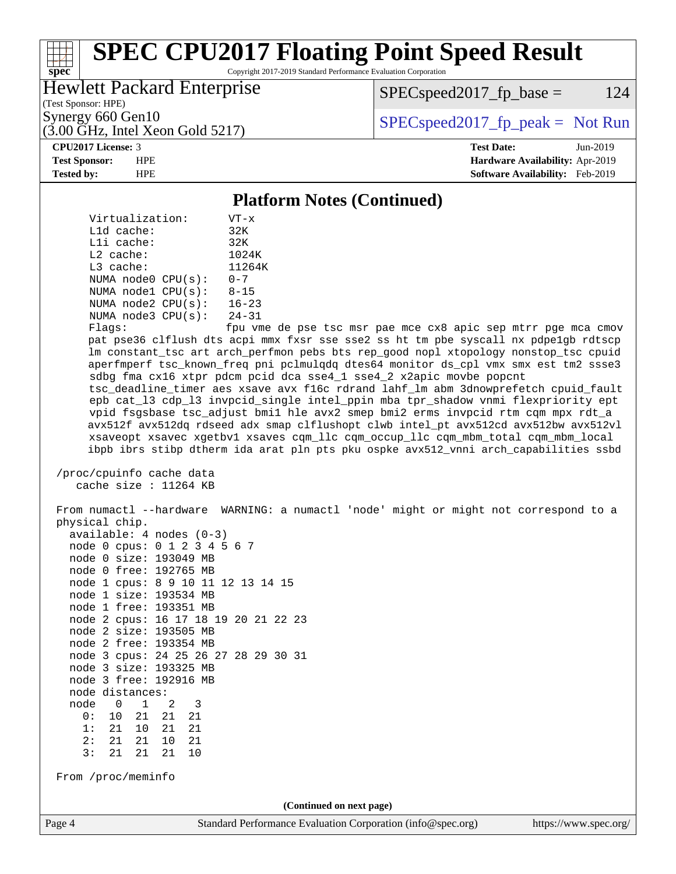Copyright 2017-2019 Standard Performance Evaluation Corporation

## Hewlett Packard Enterprise

 $SPEC speed2017_fp\_base = 124$ 

(Test Sponsor: HPE)

(3.00 GHz, Intel Xeon Gold 5217)

Synergy 660 Gen10<br>  $SPEC speed2017<sub>rfp</sub> peak = Not Run$ 

#### **[CPU2017 License:](http://www.spec.org/auto/cpu2017/Docs/result-fields.html#CPU2017License)** 3 **[Test Date:](http://www.spec.org/auto/cpu2017/Docs/result-fields.html#TestDate)** Jun-2019

**[spec](http://www.spec.org/)**

**[Test Sponsor:](http://www.spec.org/auto/cpu2017/Docs/result-fields.html#TestSponsor)** HPE **[Hardware Availability:](http://www.spec.org/auto/cpu2017/Docs/result-fields.html#HardwareAvailability)** Apr-2019 **[Tested by:](http://www.spec.org/auto/cpu2017/Docs/result-fields.html#Testedby)** HPE **[Software Availability:](http://www.spec.org/auto/cpu2017/Docs/result-fields.html#SoftwareAvailability)** Feb-2019

#### **[Platform Notes \(Continued\)](http://www.spec.org/auto/cpu2017/Docs/result-fields.html#PlatformNotes)**

 Virtualization: VT-x L1d cache: 32K L1i cache: 32K L2 cache: 1024K L3 cache: 11264K NUMA node0 CPU(s): 0-7 NUMA node1 CPU(s): 8-15 NUMA node2 CPU(s): 16-23 NUMA node3 CPU(s): 24-31

Flags: fpu vme de pse tsc msr pae mce cx8 apic sep mtrr pge mca cmov pat pse36 clflush dts acpi mmx fxsr sse sse2 ss ht tm pbe syscall nx pdpe1gb rdtscp lm constant\_tsc art arch\_perfmon pebs bts rep\_good nopl xtopology nonstop\_tsc cpuid aperfmperf tsc\_known\_freq pni pclmulqdq dtes64 monitor ds\_cpl vmx smx est tm2 ssse3 sdbg fma cx16 xtpr pdcm pcid dca sse4\_1 sse4\_2 x2apic movbe popcnt tsc\_deadline\_timer aes xsave avx f16c rdrand lahf\_lm abm 3dnowprefetch cpuid\_fault epb cat\_l3 cdp\_l3 invpcid\_single intel\_ppin mba tpr\_shadow vnmi flexpriority ept vpid fsgsbase tsc\_adjust bmi1 hle avx2 smep bmi2 erms invpcid rtm cqm mpx rdt\_a avx512f avx512dq rdseed adx smap clflushopt clwb intel\_pt avx512cd avx512bw avx512vl xsaveopt xsavec xgetbv1 xsaves cqm\_llc cqm\_occup\_llc cqm\_mbm\_total cqm\_mbm\_local ibpb ibrs stibp dtherm ida arat pln pts pku ospke avx512\_vnni arch\_capabilities ssbd

 /proc/cpuinfo cache data cache size : 11264 KB

 From numactl --hardware WARNING: a numactl 'node' might or might not correspond to a physical chip. available: 4 nodes (0-3) node 0 cpus: 0 1 2 3 4 5 6 7 node 0 size: 193049 MB node 0 free: 192765 MB node 1 cpus: 8 9 10 11 12 13 14 15 node 1 size: 193534 MB node 1 free: 193351 MB node 2 cpus: 16 17 18 19 20 21 22 23 node 2 size: 193505 MB node 2 free: 193354 MB node 3 cpus: 24 25 26 27 28 29 30 31 node 3 size: 193325 MB node 3 free: 192916 MB node distances: node 0 1 2 3 0: 10 21 21 21 1: 21 10 21 21 2: 21 21 10 21 3: 21 21 21 10 From /proc/meminfo **(Continued on next page)**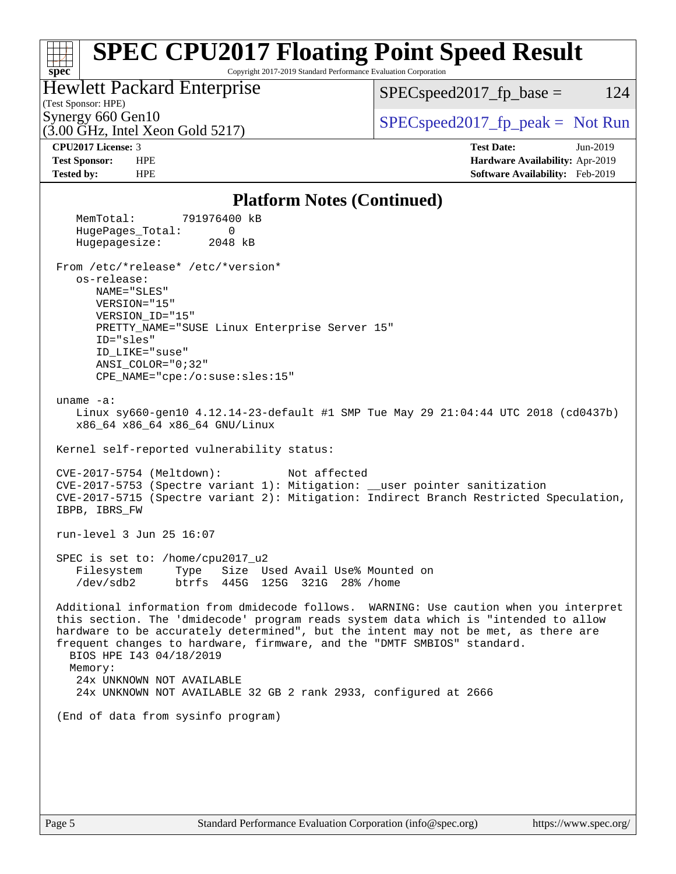#### **[spec](http://www.spec.org/) [SPEC CPU2017 Floating Point Speed Result](http://www.spec.org/auto/cpu2017/Docs/result-fields.html#SPECCPU2017FloatingPointSpeedResult)** Copyright 2017-2019 Standard Performance Evaluation Corporation (Test Sponsor: HPE) Hewlett Packard Enterprise (3.00 GHz, Intel Xeon Gold 5217) Synergy 660 Gen10  $SPEC speed2017$  fp\_peak = Not Run  $SPEC speed2017_fp\_base = 124$ **[CPU2017 License:](http://www.spec.org/auto/cpu2017/Docs/result-fields.html#CPU2017License)** 3 **[Test Date:](http://www.spec.org/auto/cpu2017/Docs/result-fields.html#TestDate)** Jun-2019 **[Test Sponsor:](http://www.spec.org/auto/cpu2017/Docs/result-fields.html#TestSponsor)** HPE **[Hardware Availability:](http://www.spec.org/auto/cpu2017/Docs/result-fields.html#HardwareAvailability)** Apr-2019 **[Tested by:](http://www.spec.org/auto/cpu2017/Docs/result-fields.html#Testedby)** HPE **[Software Availability:](http://www.spec.org/auto/cpu2017/Docs/result-fields.html#SoftwareAvailability)** Feb-2019 **[Platform Notes \(Continued\)](http://www.spec.org/auto/cpu2017/Docs/result-fields.html#PlatformNotes)** MemTotal: 791976400 kB HugePages\_Total: 0 Hugepagesize: 2048 kB From /etc/\*release\* /etc/\*version\* os-release: NAME="SLES" VERSION="15" VERSION\_ID="15" PRETTY\_NAME="SUSE Linux Enterprise Server 15" ID="sles" ID\_LIKE="suse" ANSI\_COLOR="0;32" CPE\_NAME="cpe:/o:suse:sles:15" uname -a: Linux sy660-gen10 4.12.14-23-default #1 SMP Tue May 29 21:04:44 UTC 2018 (cd0437b) x86\_64 x86\_64 x86\_64 GNU/Linux Kernel self-reported vulnerability status: CVE-2017-5754 (Meltdown): Not affected CVE-2017-5753 (Spectre variant 1): Mitigation: \_\_user pointer sanitization CVE-2017-5715 (Spectre variant 2): Mitigation: Indirect Branch Restricted Speculation, IBPB, IBRS\_FW run-level 3 Jun 25 16:07 SPEC is set to: /home/cpu2017\_u2 Filesystem Type Size Used Avail Use% Mounted on /dev/sdb2 btrfs 445G 125G 321G 28% /home Additional information from dmidecode follows. WARNING: Use caution when you interpret this section. The 'dmidecode' program reads system data which is "intended to allow hardware to be accurately determined", but the intent may not be met, as there are frequent changes to hardware, firmware, and the "DMTF SMBIOS" standard. BIOS HPE I43 04/18/2019 Memory: 24x UNKNOWN NOT AVAILABLE 24x UNKNOWN NOT AVAILABLE 32 GB 2 rank 2933, configured at 2666 (End of data from sysinfo program)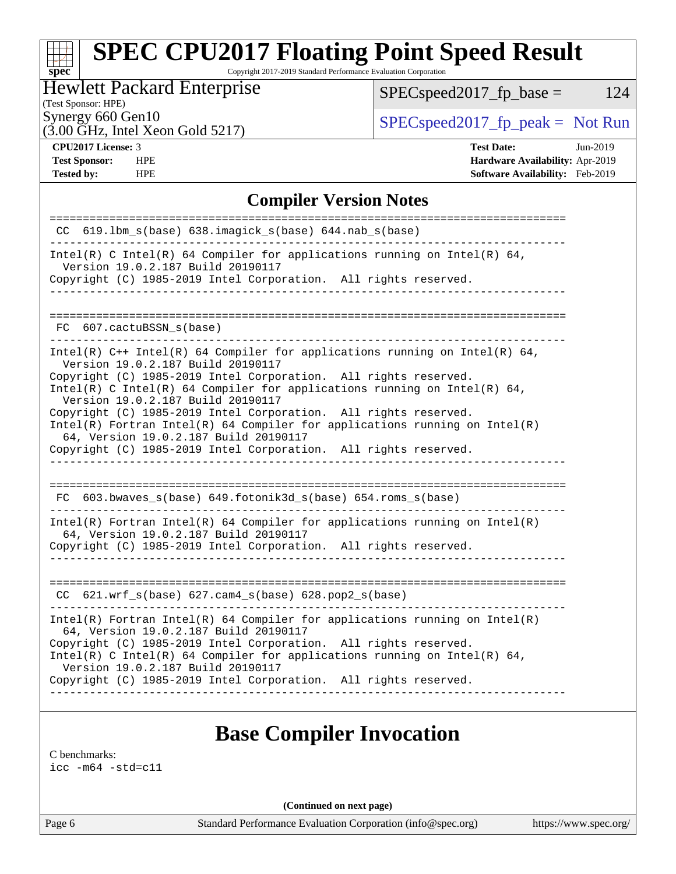Copyright 2017-2019 Standard Performance Evaluation Corporation

# Hewlett Packard Enterprise

 $SPEC speed2017_fp\_base = 124$ 

# (Test Sponsor: HPE)

(3.00 GHz, Intel Xeon Gold 5217)

Synergy 660 Gen10<br>  $SPEC speed2017<sub>rfp</sub> peak = Not Run$ <br>  $SPEC speed2017<sub>rfp</sub> peak = Not Run$ 

**[spec](http://www.spec.org/)**

**[Tested by:](http://www.spec.org/auto/cpu2017/Docs/result-fields.html#Testedby)** HPE **[Software Availability:](http://www.spec.org/auto/cpu2017/Docs/result-fields.html#SoftwareAvailability)** Feb-2019

**[CPU2017 License:](http://www.spec.org/auto/cpu2017/Docs/result-fields.html#CPU2017License)** 3 **[Test Date:](http://www.spec.org/auto/cpu2017/Docs/result-fields.html#TestDate)** Jun-2019 **[Test Sponsor:](http://www.spec.org/auto/cpu2017/Docs/result-fields.html#TestSponsor)** HPE **[Hardware Availability:](http://www.spec.org/auto/cpu2017/Docs/result-fields.html#HardwareAvailability)** Apr-2019

## **[Compiler Version Notes](http://www.spec.org/auto/cpu2017/Docs/result-fields.html#CompilerVersionNotes)**

| $CC$ 619.1bm_s(base) 638.imagick_s(base) 644.nab_s(base)                                                                                                                                 |
|------------------------------------------------------------------------------------------------------------------------------------------------------------------------------------------|
| Intel(R) C Intel(R) 64 Compiler for applications running on Intel(R) 64,<br>Version 19.0.2.187 Build 20190117                                                                            |
| Copyright (C) 1985-2019 Intel Corporation. All rights reserved.                                                                                                                          |
|                                                                                                                                                                                          |
| FC 607.cactuBSSN s(base)                                                                                                                                                                 |
| Intel(R) $C++$ Intel(R) 64 Compiler for applications running on Intel(R) 64,<br>Version 19.0.2.187 Build 20190117                                                                        |
| Copyright (C) 1985-2019 Intel Corporation. All rights reserved.<br>Intel(R) C Intel(R) 64 Compiler for applications running on Intel(R) 64,<br>Version 19.0.2.187 Build 20190117         |
| Copyright (C) 1985-2019 Intel Corporation. All rights reserved.<br>$Intel(R)$ Fortran Intel(R) 64 Compiler for applications running on Intel(R)<br>64, Version 19.0.2.187 Build 20190117 |
| Copyright (C) 1985-2019 Intel Corporation. All rights reserved.                                                                                                                          |
| __________________________                                                                                                                                                               |
| FC 603.bwaves_s(base) 649.fotonik3d_s(base) 654.roms_s(base)                                                                                                                             |
| Intel(R) Fortran Intel(R) 64 Compiler for applications running on Intel(R)<br>64, Version 19.0.2.187 Build 20190117                                                                      |
| Copyright (C) 1985-2019 Intel Corporation. All rights reserved.<br>---------------                                                                                                       |
|                                                                                                                                                                                          |
| CC 621.wrf_s(base) 627.cam4_s(base) 628.pop2_s(base)                                                                                                                                     |
| $Intel(R)$ Fortran Intel(R) 64 Compiler for applications running on Intel(R)<br>64, Version 19.0.2.187 Build 20190117                                                                    |
| Copyright (C) 1985-2019 Intel Corporation. All rights reserved.<br>Intel(R) C Intel(R) 64 Compiler for applications running on Intel(R) 64,<br>Version 19.0.2.187 Build 20190117         |
| Copyright (C) 1985-2019 Intel Corporation. All rights reserved.                                                                                                                          |
|                                                                                                                                                                                          |

# **[Base Compiler Invocation](http://www.spec.org/auto/cpu2017/Docs/result-fields.html#BaseCompilerInvocation)**

[C benchmarks](http://www.spec.org/auto/cpu2017/Docs/result-fields.html#Cbenchmarks):

[icc -m64 -std=c11](http://www.spec.org/cpu2017/results/res2019q3/cpu2017-20190709-16177.flags.html#user_CCbase_intel_icc_64bit_c11_33ee0cdaae7deeeab2a9725423ba97205ce30f63b9926c2519791662299b76a0318f32ddfffdc46587804de3178b4f9328c46fa7c2b0cd779d7a61945c91cd35)

**(Continued on next page)**

Page 6 Standard Performance Evaluation Corporation [\(info@spec.org\)](mailto:info@spec.org) <https://www.spec.org/>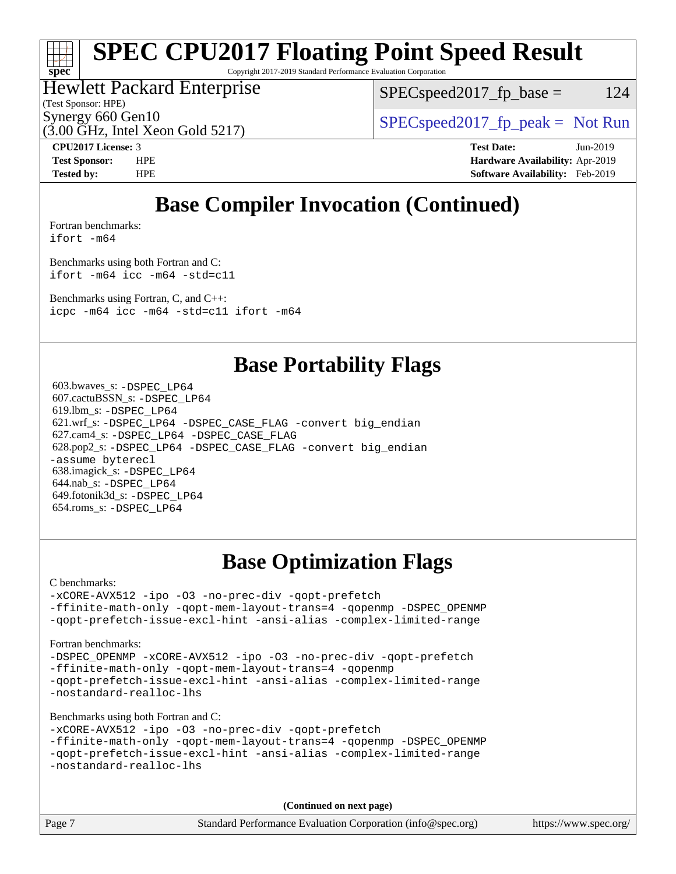# **[spec](http://www.spec.org/)**

# **[SPEC CPU2017 Floating Point Speed Result](http://www.spec.org/auto/cpu2017/Docs/result-fields.html#SPECCPU2017FloatingPointSpeedResult)**

Copyright 2017-2019 Standard Performance Evaluation Corporation

## Hewlett Packard Enterprise

 $SPEC speed2017_fp\_base = 124$ 

(Test Sponsor: HPE)

 $(3.00 \text{ GHz}, \text{Intel Xeon}$  Gold 5217)

Synergy 660 Gen10<br>  $SPEC speed2017<sub>rfp</sub> peak = Not Run$ 

**[CPU2017 License:](http://www.spec.org/auto/cpu2017/Docs/result-fields.html#CPU2017License)** 3 **[Test Date:](http://www.spec.org/auto/cpu2017/Docs/result-fields.html#TestDate)** Jun-2019 **[Test Sponsor:](http://www.spec.org/auto/cpu2017/Docs/result-fields.html#TestSponsor)** HPE **[Hardware Availability:](http://www.spec.org/auto/cpu2017/Docs/result-fields.html#HardwareAvailability)** Apr-2019 **[Tested by:](http://www.spec.org/auto/cpu2017/Docs/result-fields.html#Testedby)** HPE **[Software Availability:](http://www.spec.org/auto/cpu2017/Docs/result-fields.html#SoftwareAvailability)** Feb-2019

# **[Base Compiler Invocation \(Continued\)](http://www.spec.org/auto/cpu2017/Docs/result-fields.html#BaseCompilerInvocation)**

[Fortran benchmarks](http://www.spec.org/auto/cpu2017/Docs/result-fields.html#Fortranbenchmarks):

[ifort -m64](http://www.spec.org/cpu2017/results/res2019q3/cpu2017-20190709-16177.flags.html#user_FCbase_intel_ifort_64bit_24f2bb282fbaeffd6157abe4f878425411749daecae9a33200eee2bee2fe76f3b89351d69a8130dd5949958ce389cf37ff59a95e7a40d588e8d3a57e0c3fd751)

[Benchmarks using both Fortran and C](http://www.spec.org/auto/cpu2017/Docs/result-fields.html#BenchmarksusingbothFortranandC): [ifort -m64](http://www.spec.org/cpu2017/results/res2019q3/cpu2017-20190709-16177.flags.html#user_CC_FCbase_intel_ifort_64bit_24f2bb282fbaeffd6157abe4f878425411749daecae9a33200eee2bee2fe76f3b89351d69a8130dd5949958ce389cf37ff59a95e7a40d588e8d3a57e0c3fd751) [icc -m64 -std=c11](http://www.spec.org/cpu2017/results/res2019q3/cpu2017-20190709-16177.flags.html#user_CC_FCbase_intel_icc_64bit_c11_33ee0cdaae7deeeab2a9725423ba97205ce30f63b9926c2519791662299b76a0318f32ddfffdc46587804de3178b4f9328c46fa7c2b0cd779d7a61945c91cd35)

[Benchmarks using Fortran, C, and C++:](http://www.spec.org/auto/cpu2017/Docs/result-fields.html#BenchmarksusingFortranCandCXX) [icpc -m64](http://www.spec.org/cpu2017/results/res2019q3/cpu2017-20190709-16177.flags.html#user_CC_CXX_FCbase_intel_icpc_64bit_4ecb2543ae3f1412ef961e0650ca070fec7b7afdcd6ed48761b84423119d1bf6bdf5cad15b44d48e7256388bc77273b966e5eb805aefd121eb22e9299b2ec9d9) [icc -m64 -std=c11](http://www.spec.org/cpu2017/results/res2019q3/cpu2017-20190709-16177.flags.html#user_CC_CXX_FCbase_intel_icc_64bit_c11_33ee0cdaae7deeeab2a9725423ba97205ce30f63b9926c2519791662299b76a0318f32ddfffdc46587804de3178b4f9328c46fa7c2b0cd779d7a61945c91cd35) [ifort -m64](http://www.spec.org/cpu2017/results/res2019q3/cpu2017-20190709-16177.flags.html#user_CC_CXX_FCbase_intel_ifort_64bit_24f2bb282fbaeffd6157abe4f878425411749daecae9a33200eee2bee2fe76f3b89351d69a8130dd5949958ce389cf37ff59a95e7a40d588e8d3a57e0c3fd751)

# **[Base Portability Flags](http://www.spec.org/auto/cpu2017/Docs/result-fields.html#BasePortabilityFlags)**

 603.bwaves\_s: [-DSPEC\\_LP64](http://www.spec.org/cpu2017/results/res2019q3/cpu2017-20190709-16177.flags.html#suite_basePORTABILITY603_bwaves_s_DSPEC_LP64) 607.cactuBSSN\_s: [-DSPEC\\_LP64](http://www.spec.org/cpu2017/results/res2019q3/cpu2017-20190709-16177.flags.html#suite_basePORTABILITY607_cactuBSSN_s_DSPEC_LP64) 619.lbm\_s: [-DSPEC\\_LP64](http://www.spec.org/cpu2017/results/res2019q3/cpu2017-20190709-16177.flags.html#suite_basePORTABILITY619_lbm_s_DSPEC_LP64) 621.wrf\_s: [-DSPEC\\_LP64](http://www.spec.org/cpu2017/results/res2019q3/cpu2017-20190709-16177.flags.html#suite_basePORTABILITY621_wrf_s_DSPEC_LP64) [-DSPEC\\_CASE\\_FLAG](http://www.spec.org/cpu2017/results/res2019q3/cpu2017-20190709-16177.flags.html#b621.wrf_s_baseCPORTABILITY_DSPEC_CASE_FLAG) [-convert big\\_endian](http://www.spec.org/cpu2017/results/res2019q3/cpu2017-20190709-16177.flags.html#user_baseFPORTABILITY621_wrf_s_convert_big_endian_c3194028bc08c63ac5d04de18c48ce6d347e4e562e8892b8bdbdc0214820426deb8554edfa529a3fb25a586e65a3d812c835984020483e7e73212c4d31a38223) 627.cam4\_s: [-DSPEC\\_LP64](http://www.spec.org/cpu2017/results/res2019q3/cpu2017-20190709-16177.flags.html#suite_basePORTABILITY627_cam4_s_DSPEC_LP64) [-DSPEC\\_CASE\\_FLAG](http://www.spec.org/cpu2017/results/res2019q3/cpu2017-20190709-16177.flags.html#b627.cam4_s_baseCPORTABILITY_DSPEC_CASE_FLAG) 628.pop2\_s: [-DSPEC\\_LP64](http://www.spec.org/cpu2017/results/res2019q3/cpu2017-20190709-16177.flags.html#suite_basePORTABILITY628_pop2_s_DSPEC_LP64) [-DSPEC\\_CASE\\_FLAG](http://www.spec.org/cpu2017/results/res2019q3/cpu2017-20190709-16177.flags.html#b628.pop2_s_baseCPORTABILITY_DSPEC_CASE_FLAG) [-convert big\\_endian](http://www.spec.org/cpu2017/results/res2019q3/cpu2017-20190709-16177.flags.html#user_baseFPORTABILITY628_pop2_s_convert_big_endian_c3194028bc08c63ac5d04de18c48ce6d347e4e562e8892b8bdbdc0214820426deb8554edfa529a3fb25a586e65a3d812c835984020483e7e73212c4d31a38223) [-assume byterecl](http://www.spec.org/cpu2017/results/res2019q3/cpu2017-20190709-16177.flags.html#user_baseFPORTABILITY628_pop2_s_assume_byterecl_7e47d18b9513cf18525430bbf0f2177aa9bf368bc7a059c09b2c06a34b53bd3447c950d3f8d6c70e3faf3a05c8557d66a5798b567902e8849adc142926523472) 638.imagick\_s: [-DSPEC\\_LP64](http://www.spec.org/cpu2017/results/res2019q3/cpu2017-20190709-16177.flags.html#suite_basePORTABILITY638_imagick_s_DSPEC_LP64) 644.nab\_s: [-DSPEC\\_LP64](http://www.spec.org/cpu2017/results/res2019q3/cpu2017-20190709-16177.flags.html#suite_basePORTABILITY644_nab_s_DSPEC_LP64) 649.fotonik3d\_s: [-DSPEC\\_LP64](http://www.spec.org/cpu2017/results/res2019q3/cpu2017-20190709-16177.flags.html#suite_basePORTABILITY649_fotonik3d_s_DSPEC_LP64) 654.roms\_s: [-DSPEC\\_LP64](http://www.spec.org/cpu2017/results/res2019q3/cpu2017-20190709-16177.flags.html#suite_basePORTABILITY654_roms_s_DSPEC_LP64)

# **[Base Optimization Flags](http://www.spec.org/auto/cpu2017/Docs/result-fields.html#BaseOptimizationFlags)**

[C benchmarks](http://www.spec.org/auto/cpu2017/Docs/result-fields.html#Cbenchmarks):

[-xCORE-AVX512](http://www.spec.org/cpu2017/results/res2019q3/cpu2017-20190709-16177.flags.html#user_CCbase_f-xCORE-AVX512) [-ipo](http://www.spec.org/cpu2017/results/res2019q3/cpu2017-20190709-16177.flags.html#user_CCbase_f-ipo) [-O3](http://www.spec.org/cpu2017/results/res2019q3/cpu2017-20190709-16177.flags.html#user_CCbase_f-O3) [-no-prec-div](http://www.spec.org/cpu2017/results/res2019q3/cpu2017-20190709-16177.flags.html#user_CCbase_f-no-prec-div) [-qopt-prefetch](http://www.spec.org/cpu2017/results/res2019q3/cpu2017-20190709-16177.flags.html#user_CCbase_f-qopt-prefetch) [-ffinite-math-only](http://www.spec.org/cpu2017/results/res2019q3/cpu2017-20190709-16177.flags.html#user_CCbase_f_finite_math_only_cb91587bd2077682c4b38af759c288ed7c732db004271a9512da14a4f8007909a5f1427ecbf1a0fb78ff2a814402c6114ac565ca162485bbcae155b5e4258871) [-qopt-mem-layout-trans=4](http://www.spec.org/cpu2017/results/res2019q3/cpu2017-20190709-16177.flags.html#user_CCbase_f-qopt-mem-layout-trans_fa39e755916c150a61361b7846f310bcdf6f04e385ef281cadf3647acec3f0ae266d1a1d22d972a7087a248fd4e6ca390a3634700869573d231a252c784941a8) [-qopenmp](http://www.spec.org/cpu2017/results/res2019q3/cpu2017-20190709-16177.flags.html#user_CCbase_qopenmp_16be0c44f24f464004c6784a7acb94aca937f053568ce72f94b139a11c7c168634a55f6653758ddd83bcf7b8463e8028bb0b48b77bcddc6b78d5d95bb1df2967) [-DSPEC\\_OPENMP](http://www.spec.org/cpu2017/results/res2019q3/cpu2017-20190709-16177.flags.html#suite_CCbase_DSPEC_OPENMP) [-qopt-prefetch-issue-excl-hint](http://www.spec.org/cpu2017/results/res2019q3/cpu2017-20190709-16177.flags.html#user_CCbase_f-qopt-prefetch-issue-excl-hint) [-ansi-alias](http://www.spec.org/cpu2017/results/res2019q3/cpu2017-20190709-16177.flags.html#user_CCbase_f-ansi-alias) [-complex-limited-range](http://www.spec.org/cpu2017/results/res2019q3/cpu2017-20190709-16177.flags.html#user_CCbase_f-complex-limited-range)

#### [Fortran benchmarks](http://www.spec.org/auto/cpu2017/Docs/result-fields.html#Fortranbenchmarks):

[-DSPEC\\_OPENMP](http://www.spec.org/cpu2017/results/res2019q3/cpu2017-20190709-16177.flags.html#suite_FCbase_DSPEC_OPENMP) [-xCORE-AVX512](http://www.spec.org/cpu2017/results/res2019q3/cpu2017-20190709-16177.flags.html#user_FCbase_f-xCORE-AVX512) [-ipo](http://www.spec.org/cpu2017/results/res2019q3/cpu2017-20190709-16177.flags.html#user_FCbase_f-ipo) [-O3](http://www.spec.org/cpu2017/results/res2019q3/cpu2017-20190709-16177.flags.html#user_FCbase_f-O3) [-no-prec-div](http://www.spec.org/cpu2017/results/res2019q3/cpu2017-20190709-16177.flags.html#user_FCbase_f-no-prec-div) [-qopt-prefetch](http://www.spec.org/cpu2017/results/res2019q3/cpu2017-20190709-16177.flags.html#user_FCbase_f-qopt-prefetch) [-ffinite-math-only](http://www.spec.org/cpu2017/results/res2019q3/cpu2017-20190709-16177.flags.html#user_FCbase_f_finite_math_only_cb91587bd2077682c4b38af759c288ed7c732db004271a9512da14a4f8007909a5f1427ecbf1a0fb78ff2a814402c6114ac565ca162485bbcae155b5e4258871) [-qopt-mem-layout-trans=4](http://www.spec.org/cpu2017/results/res2019q3/cpu2017-20190709-16177.flags.html#user_FCbase_f-qopt-mem-layout-trans_fa39e755916c150a61361b7846f310bcdf6f04e385ef281cadf3647acec3f0ae266d1a1d22d972a7087a248fd4e6ca390a3634700869573d231a252c784941a8) [-qopenmp](http://www.spec.org/cpu2017/results/res2019q3/cpu2017-20190709-16177.flags.html#user_FCbase_qopenmp_16be0c44f24f464004c6784a7acb94aca937f053568ce72f94b139a11c7c168634a55f6653758ddd83bcf7b8463e8028bb0b48b77bcddc6b78d5d95bb1df2967) [-qopt-prefetch-issue-excl-hint](http://www.spec.org/cpu2017/results/res2019q3/cpu2017-20190709-16177.flags.html#user_FCbase_f-qopt-prefetch-issue-excl-hint) [-ansi-alias](http://www.spec.org/cpu2017/results/res2019q3/cpu2017-20190709-16177.flags.html#user_FCbase_f-ansi-alias) [-complex-limited-range](http://www.spec.org/cpu2017/results/res2019q3/cpu2017-20190709-16177.flags.html#user_FCbase_f-complex-limited-range) [-nostandard-realloc-lhs](http://www.spec.org/cpu2017/results/res2019q3/cpu2017-20190709-16177.flags.html#user_FCbase_f_2003_std_realloc_82b4557e90729c0f113870c07e44d33d6f5a304b4f63d4c15d2d0f1fab99f5daaed73bdb9275d9ae411527f28b936061aa8b9c8f2d63842963b95c9dd6426b8a)

[Benchmarks using both Fortran and C](http://www.spec.org/auto/cpu2017/Docs/result-fields.html#BenchmarksusingbothFortranandC):

```
-xCORE-AVX512 -ipo -O3 -no-prec-div -qopt-prefetch
-ffinite-math-only -qopt-mem-layout-trans=4 -qopenmp -DSPEC_OPENMP
-qopt-prefetch-issue-excl-hint -ansi-alias -complex-limited-range
-nostandard-realloc-lhs
```
**(Continued on next page)**